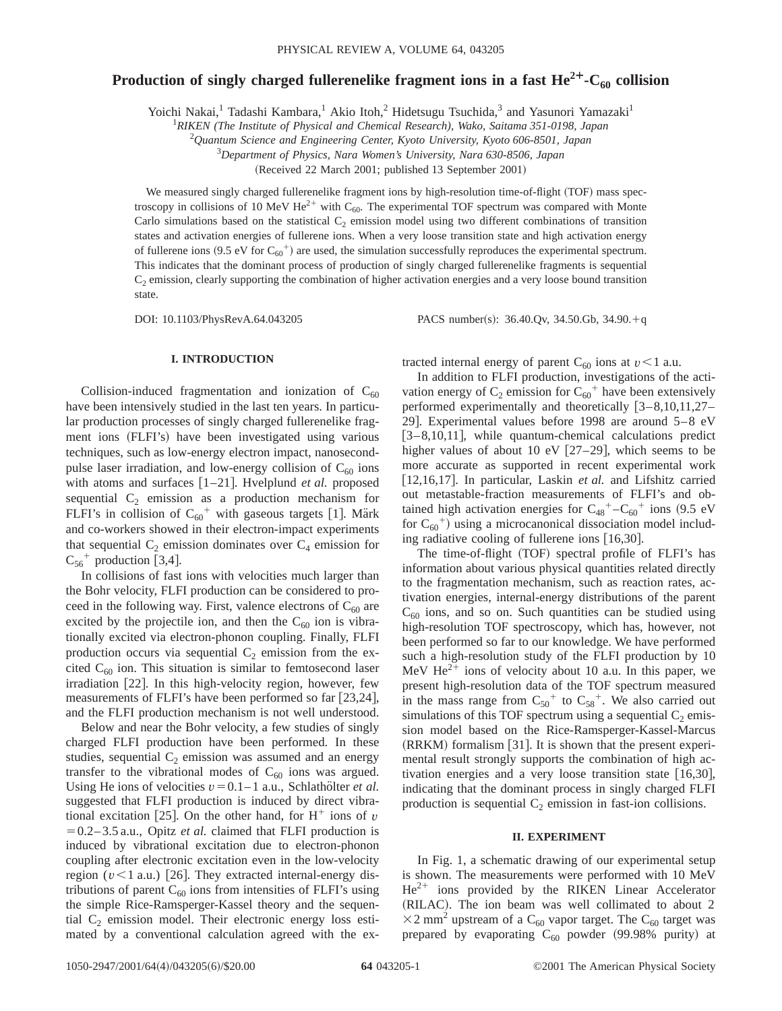# **Production of singly charged fullerenelike fragment ions in a fast**  $He^{2+}-C_{60}$  **collision**

Yoichi Nakai,<sup>1</sup> Tadashi Kambara,<sup>1</sup> Akio Itoh,<sup>2</sup> Hidetsugu Tsuchida,<sup>3</sup> and Yasunori Yamazaki<sup>1</sup>

1 *RIKEN (The Institute of Physical and Chemical Research), Wako, Saitama 351-0198, Japan*

2 *Quantum Science and Engineering Center, Kyoto University, Kyoto 606-8501, Japan*

3 *Department of Physics, Nara Women's University, Nara 630-8506, Japan*

(Received 22 March 2001; published 13 September 2001)

We measured singly charged fullerenelike fragment ions by high-resolution time-of-flight (TOF) mass spectroscopy in collisions of 10 MeV He<sup>2+</sup> with C<sub>60</sub>. The experimental TOF spectrum was compared with Monte Carlo simulations based on the statistical  $C_2$  emission model using two different combinations of transition states and activation energies of fullerene ions. When a very loose transition state and high activation energy of fullerene ions  $(9.5 \text{ eV}$  for  $C_{60}^{+}$  are used, the simulation successfully reproduces the experimental spectrum. This indicates that the dominant process of production of singly charged fullerenelike fragments is sequential  $C<sub>2</sub>$  emission, clearly supporting the combination of higher activation energies and a very loose bound transition state.

DOI: 10.1103/PhysRevA.64.043205 PACS number(s): 36.40.Ov, 34.50.Gb, 34.90.<sup>1</sup>q

### **I. INTRODUCTION**

Collision-induced fragmentation and ionization of  $C_{60}$ have been intensively studied in the last ten years. In particular production processes of singly charged fullerenelike fragment ions (FLFI's) have been investigated using various techniques, such as low-energy electron impact, nanosecondpulse laser irradiation, and low-energy collision of  $C_{60}$  ions with atoms and surfaces [1-21]. Hvelplund *et al.* proposed sequential  $C_2$  emission as a production mechanism for FLFI's in collision of  $C_{60}$ <sup>+</sup> with gaseous targets [1]. Märk and co-workers showed in their electron-impact experiments that sequential  $C_2$  emission dominates over  $C_4$  emission for  $C_{56}$ <sup>+</sup> production [3,4].

In collisions of fast ions with velocities much larger than the Bohr velocity, FLFI production can be considered to proceed in the following way. First, valence electrons of  $C_{60}$  are excited by the projectile ion, and then the  $C_{60}$  ion is vibrationally excited via electron-phonon coupling. Finally, FLFI production occurs via sequential  $C_2$  emission from the excited  $C_{60}$  ion. This situation is similar to femtosecond laser irradiation  $[22]$ . In this high-velocity region, however, few measurements of FLFI's have been performed so far  $[23,24]$ , and the FLFI production mechanism is not well understood.

Below and near the Bohr velocity, a few studies of singly charged FLFI production have been performed. In these studies, sequential  $C_2$  emission was assumed and an energy transfer to the vibrational modes of  $C_{60}$  ions was argued. Using He ions of velocities  $v=0.1-1$  a.u., Schlathölter *et al.* suggested that FLFI production is induced by direct vibrational excitation [25]. On the other hand, for  $H^+$  ions of *v*  $=0.2-3.5$  a.u., Opitz *et al.* claimed that FLFI production is induced by vibrational excitation due to electron-phonon coupling after electronic excitation even in the low-velocity region  $(v<1$  a.u.) [26]. They extracted internal-energy distributions of parent  $C_{60}$  ions from intensities of FLFI's using the simple Rice-Ramsperger-Kassel theory and the sequential  $C_2$  emission model. Their electronic energy loss estimated by a conventional calculation agreed with the extracted internal energy of parent  $C_{60}$  ions at  $v < 1$  a.u.

In addition to FLFI production, investigations of the activation energy of  $C_2$  emission for  $C_{60}$ <sup>+</sup> have been extensively performed experimentally and theoretically  $[3-8,10,11,27-$ 29]. Experimental values before 1998 are around  $5-8$  eV  $[3-8,10,11]$ , while quantum-chemical calculations predict higher values of about 10 eV  $[27-29]$ , which seems to be more accurate as supported in recent experimental work [12,16,17]. In particular, Laskin *et al.* and Lifshitz carried out metastable-fraction measurements of FLFI's and obtained high activation energies for  $C_{48}^+$ – $C_{60}^+$  ions (9.5 eV for  $C_{60}$ <sup>+</sup>) using a microcanonical dissociation model including radiative cooling of fullerene ions  $[16,30]$ .

The time-of-flight (TOF) spectral profile of FLFI's has information about various physical quantities related directly to the fragmentation mechanism, such as reaction rates, activation energies, internal-energy distributions of the parent  $C_{60}$  ions, and so on. Such quantities can be studied using high-resolution TOF spectroscopy, which has, however, not been performed so far to our knowledge. We have performed such a high-resolution study of the FLFI production by 10 MeV  $\text{He}^{2+}$  ions of velocity about 10 a.u. In this paper, we present high-resolution data of the TOF spectrum measured in the mass range from  $C_{50}$ <sup>+</sup> to  $C_{58}$ <sup>+</sup>. We also carried out simulations of this TOF spectrum using a sequential  $C_2$  emission model based on the Rice-Ramsperger-Kassel-Marcus  $(RRKM)$  formalism [31]. It is shown that the present experimental result strongly supports the combination of high activation energies and a very loose transition state  $[16,30]$ , indicating that the dominant process in singly charged FLFI production is sequential  $C_2$  emission in fast-ion collisions.

### **II. EXPERIMENT**

In Fig. 1, a schematic drawing of our experimental setup is shown. The measurements were performed with 10 MeV  $He<sup>2+</sup>$  ions provided by the RIKEN Linear Accelerator (RILAC). The ion beam was well collimated to about 2  $\times$ 2 mm<sup>2</sup> upstream of a C<sub>60</sub> vapor target. The C<sub>60</sub> target was prepared by evaporating  $C_{60}$  powder (99.98% purity) at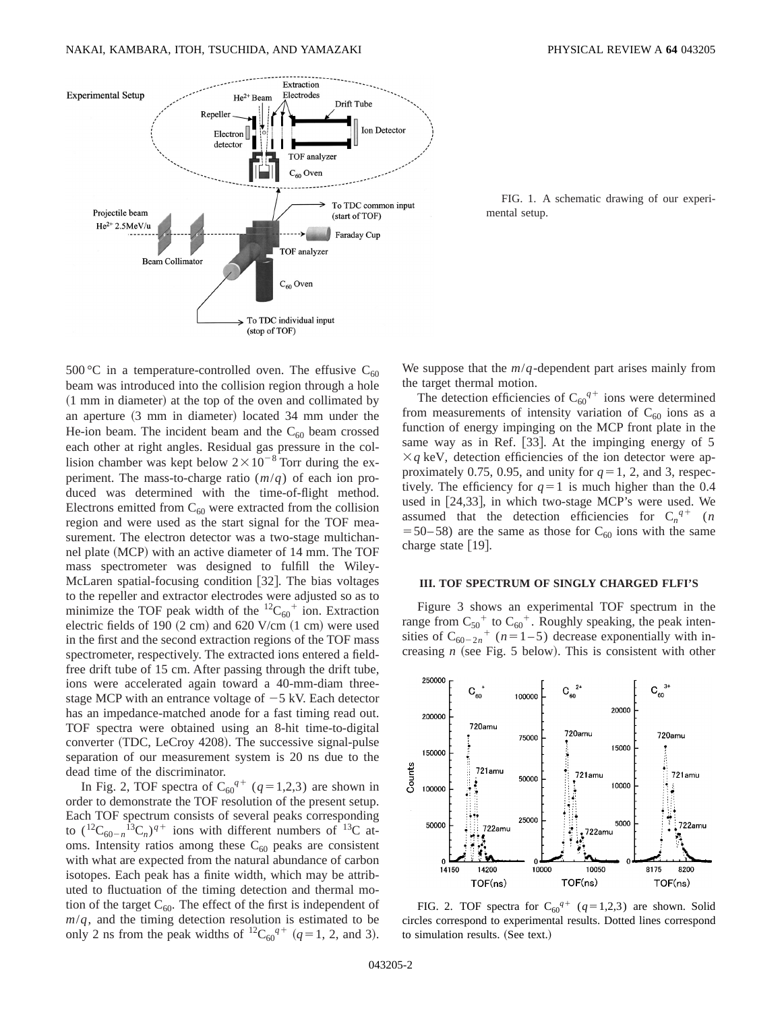

FIG. 1. A schematic drawing of our experimental setup.

500 °C in a temperature-controlled oven. The effusive  $C_{60}$ beam was introduced into the collision region through a hole  $(1 \text{ mm in diameter})$  at the top of the oven and collimated by an aperture  $(3 \text{ mm}$  in diameter) located  $34 \text{ mm}$  under the He-ion beam. The incident beam and the  $C_{60}$  beam crossed each other at right angles. Residual gas pressure in the collision chamber was kept below  $2\times10^{-8}$  Torr during the experiment. The mass-to-charge ratio (*m*/*q*) of each ion produced was determined with the time-of-flight method. Electrons emitted from  $C_{60}$  were extracted from the collision region and were used as the start signal for the TOF measurement. The electron detector was a two-stage multichannel plate (MCP) with an active diameter of 14 mm. The TOF mass spectrometer was designed to fulfill the Wiley-McLaren spatial-focusing condition [32]. The bias voltages to the repeller and extractor electrodes were adjusted so as to minimize the TOF peak width of the  ${}^{12}C_{60}{}^{+}$  ion. Extraction electric fields of 190  $(2 \text{ cm})$  and 620 V/cm  $(1 \text{ cm})$  were used in the first and the second extraction regions of the TOF mass spectrometer, respectively. The extracted ions entered a fieldfree drift tube of 15 cm. After passing through the drift tube, ions were accelerated again toward a 40-mm-diam threestage MCP with an entrance voltage of  $-5$  kV. Each detector has an impedance-matched anode for a fast timing read out. TOF spectra were obtained using an 8-hit time-to-digital converter (TDC, LeCroy 4208). The successive signal-pulse separation of our measurement system is 20 ns due to the dead time of the discriminator.

In Fig. 2, TOF spectra of  $C_{60}^{q+}$  ( $q=1,2,3$ ) are shown in order to demonstrate the TOF resolution of the present setup. Each TOF spectrum consists of several peaks corresponding to  $({}^{12}C_{60-n} {}^{13}C_n)^{q+}$  ions with different numbers of  ${}^{13}C$  atoms. Intensity ratios among these  $C_{60}$  peaks are consistent with what are expected from the natural abundance of carbon isotopes. Each peak has a finite width, which may be attributed to fluctuation of the timing detection and thermal motion of the target  $C_{60}$ . The effect of the first is independent of  $m/q$ , and the timing detection resolution is estimated to be only 2 ns from the peak widths of  ${}^{12}C_{60}^{q+}$  ( $q=1, 2,$  and 3). We suppose that the *m*/*q*-dependent part arises mainly from the target thermal motion.

The detection efficiencies of  $C_{60}^{q+}$  ions were determined from measurements of intensity variation of  $C_{60}$  ions as a function of energy impinging on the MCP front plate in the same way as in Ref.  $[33]$ . At the impinging energy of 5  $\times q$  keV, detection efficiencies of the ion detector were approximately 0.75, 0.95, and unity for  $q=1, 2$ , and 3, respectively. The efficiency for  $q=1$  is much higher than the 0.4 used in  $[24,33]$ , in which two-stage MCP's were used. We assumed that the detection efficiencies for  $C_n^{q+}$  (*n*  $=$  50– 58) are the same as those for C<sub>60</sub> ions with the same charge state  $[19]$ .

### **III. TOF SPECTRUM OF SINGLY CHARGED FLFI'S**

Figure 3 shows an experimental TOF spectrum in the range from  $C_{50}$ <sup>+</sup> to  $C_{60}$ <sup>+</sup>. Roughly speaking, the peak intensities of  $C_{60-2n}$ <sup>+</sup> (*n*=1-5) decrease exponentially with increasing  $n$  (see Fig. 5 below). This is consistent with other



FIG. 2. TOF spectra for  $C_{60}^{q+}$  ( $q=1,2,3$ ) are shown. Solid circles correspond to experimental results. Dotted lines correspond to simulation results. (See text.)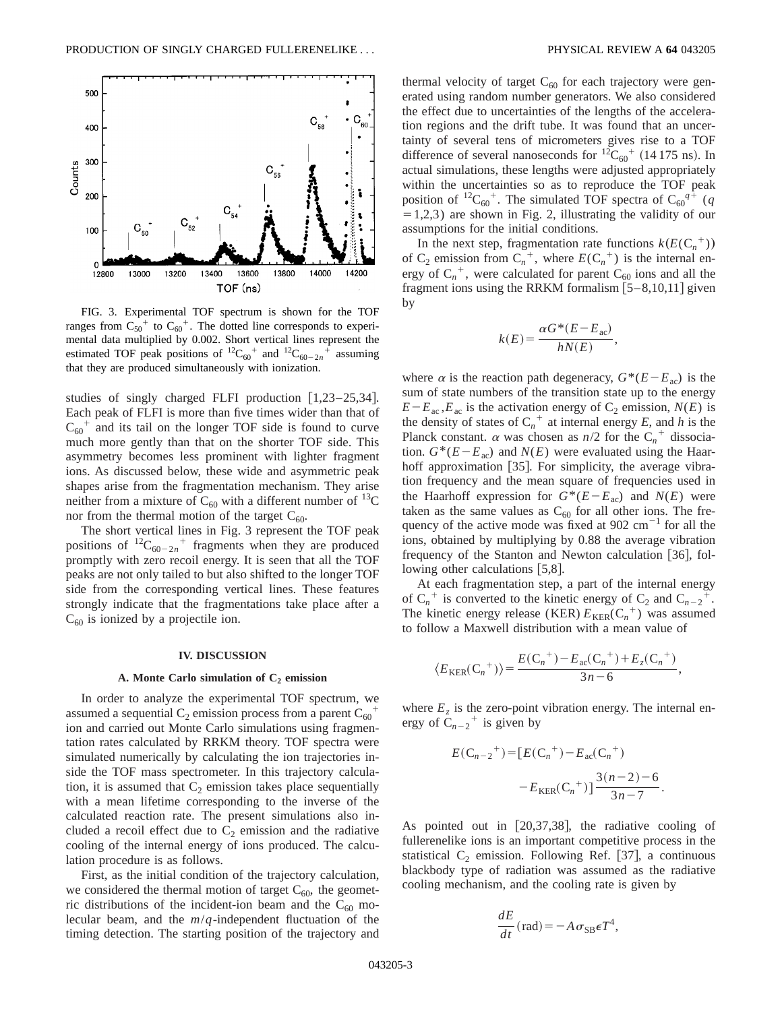

FIG. 3. Experimental TOF spectrum is shown for the TOF ranges from  $C_{50}^+$  to  $C_{60}^+$ . The dotted line corresponds to experimental data multiplied by 0.002. Short vertical lines represent the estimated TOF peak positions of  ${}^{12}C_{60}^+$  and  ${}^{12}C_{60-2n}^+$  assuming that they are produced simultaneously with ionization.

studies of singly charged FLFI production  $[1,23-25,34]$ . Each peak of FLFI is more than five times wider than that of  $C_{60}$ <sup>+</sup> and its tail on the longer TOF side is found to curve much more gently than that on the shorter TOF side. This asymmetry becomes less prominent with lighter fragment ions. As discussed below, these wide and asymmetric peak shapes arise from the fragmentation mechanism. They arise neither from a mixture of  $C_{60}$  with a different number of <sup>13</sup>C nor from the thermal motion of the target  $C_{60}$ .

The short vertical lines in Fig. 3 represent the TOF peak positions of  ${}^{12}C_{60-2n}$ <sup>+</sup> fragments when they are produced promptly with zero recoil energy. It is seen that all the TOF peaks are not only tailed to but also shifted to the longer TOF side from the corresponding vertical lines. These features strongly indicate that the fragmentations take place after a  $C_{60}$  is ionized by a projectile ion.

#### **IV. DISCUSSION**

## A. Monte Carlo simulation of C<sub>2</sub> emission

In order to analyze the experimental TOF spectrum, we assumed a sequential  $C_2$  emission process from a parent  $C_{60}^{\dagger}$ ion and carried out Monte Carlo simulations using fragmentation rates calculated by RRKM theory. TOF spectra were simulated numerically by calculating the ion trajectories inside the TOF mass spectrometer. In this trajectory calculation, it is assumed that  $C_2$  emission takes place sequentially with a mean lifetime corresponding to the inverse of the calculated reaction rate. The present simulations also included a recoil effect due to  $C_2$  emission and the radiative cooling of the internal energy of ions produced. The calculation procedure is as follows.

First, as the initial condition of the trajectory calculation, we considered the thermal motion of target  $C_{60}$ , the geometric distributions of the incident-ion beam and the  $C_{60}$  molecular beam, and the *m*/*q*-independent fluctuation of the timing detection. The starting position of the trajectory and

thermal velocity of target  $C_{60}$  for each trajectory were generated using random number generators. We also considered the effect due to uncertainties of the lengths of the acceleration regions and the drift tube. It was found that an uncertainty of several tens of micrometers gives rise to a TOF difference of several nanoseconds for  ${}^{12}C_{60}$ <sup>+</sup> (14 175 ns). In actual simulations, these lengths were adjusted appropriately within the uncertainties so as to reproduce the TOF peak position of <sup>12</sup>C<sub>60</sub><sup>+</sup>. The simulated TOF spectra of C<sub>60</sub><sup> $q$ +</sup> (*q*  $=1,2,3$ ) are shown in Fig. 2, illustrating the validity of our assumptions for the initial conditions.

In the next step, fragmentation rate functions  $k(E(C_n^+))$ of  $C_2$  emission from  $C_n^+$ , where  $E(C_n^+)$  is the internal energy of  $C_n^+$ , were calculated for parent  $C_{60}$  ions and all the fragment ions using the RRKM formalism  $[5-8,10,11]$  given by

$$
k(E) = \frac{\alpha G^*(E - E_{ac})}{hN(E)},
$$

where  $\alpha$  is the reaction path degeneracy,  $G^*(E-E_{ac})$  is the sum of state numbers of the transition state up to the energy  $E-E<sub>ac</sub>, E<sub>ac</sub>$  is the activation energy of  $C<sub>2</sub>$  emission,  $N(E)$  is the density of states of  $C_n^+$  at internal energy *E*, and *h* is the Planck constant.  $\alpha$  was chosen as  $n/2$  for the  $C_n^+$  dissociation.  $G^*(E-E_{ac})$  and  $N(E)$  were evaluated using the Haarhoff approximation  $[35]$ . For simplicity, the average vibration frequency and the mean square of frequencies used in the Haarhoff expression for  $G^*(E-E_{ac})$  and  $N(E)$  were taken as the same values as  $C_{60}$  for all other ions. The frequency of the active mode was fixed at  $902 \text{ cm}^{-1}$  for all the ions, obtained by multiplying by 0.88 the average vibration frequency of the Stanton and Newton calculation  $[36]$ , following other calculations  $[5,8]$ .

At each fragmentation step, a part of the internal energy of  $C_n^+$  is converted to the kinetic energy of  $C_2$  and  $C_{n-2}^+$ . The kinetic energy release (KER)  $E_{KER}(C_n^+)$  was assumed to follow a Maxwell distribution with a mean value of

$$
\langle E_{\text{KER}}(C_n^+)\rangle = \frac{E(C_n^+) - E_{\text{ac}}(C_n^+) + E_z(C_n^+)}{3n-6},
$$

where  $E<sub>z</sub>$  is the zero-point vibration energy. The internal energy of  $\tilde{C}_{n-2}$ <sup>+</sup> is given by

$$
E(C_{n-2}^+) = [E(C_n^+) - E_{ac}(C_n^+)
$$

$$
-E_{KER}(C_n^+)] \frac{3(n-2)-6}{3n-7}.
$$

As pointed out in  $[20,37,38]$ , the radiative cooling of fullerenelike ions is an important competitive process in the statistical  $C_2$  emission. Following Ref. [37], a continuous blackbody type of radiation was assumed as the radiative cooling mechanism, and the cooling rate is given by

$$
\frac{dE}{dt}(\text{rad}) = -A \,\sigma_{SB} \epsilon T^4,
$$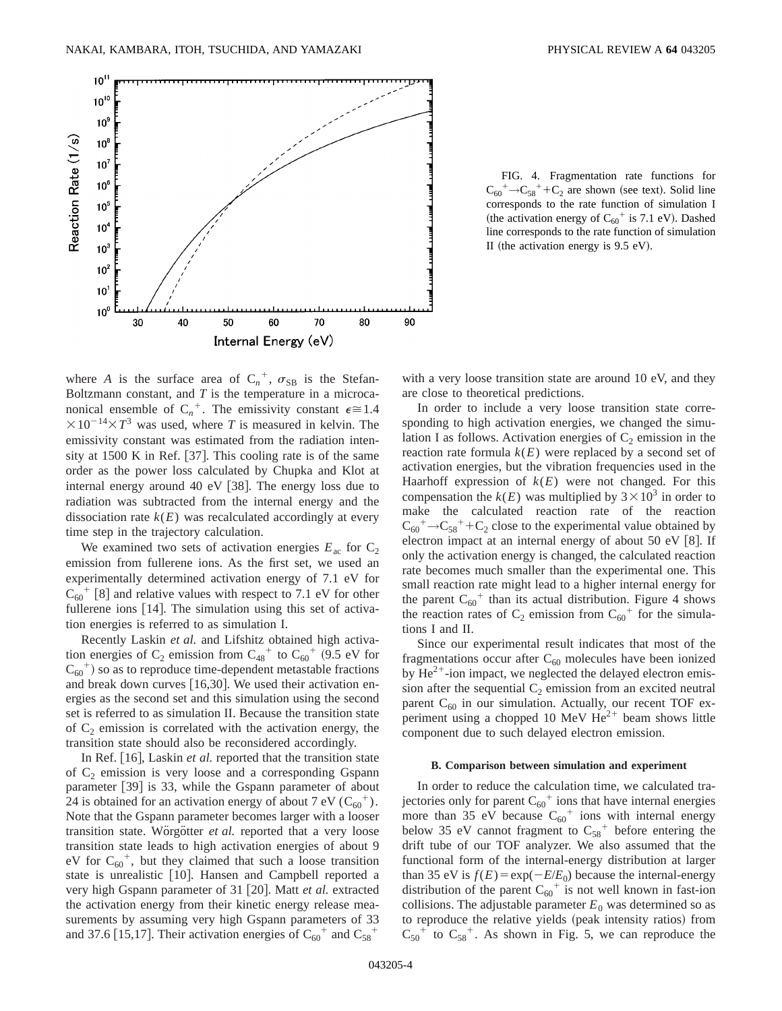

FIG. 4. Fragmentation rate functions for  $C_{60}^+ \rightarrow C_{58}^+ + C_2$  are shown (see text). Solid line corresponds to the rate function of simulation I (the activation energy of  $C_{60}^+$  is 7.1 eV). Dashed line corresponds to the rate function of simulation II (the activation energy is  $9.5$  eV).

where *A* is the surface area of  $C_n^+$ ,  $\sigma_{SB}$  is the Stefan-Boltzmann constant, and *T* is the temperature in a microcanonical ensemble of  $C_n^+$ . The emissivity constant  $\epsilon \approx 1.4$  $\times 10^{-14} \times T^3$  was used, where *T* is measured in kelvin. The emissivity constant was estimated from the radiation intensity at 1500 K in Ref.  $[37]$ . This cooling rate is of the same order as the power loss calculated by Chupka and Klot at internal energy around 40 eV  $[38]$ . The energy loss due to radiation was subtracted from the internal energy and the dissociation rate  $k(E)$  was recalculated accordingly at every time step in the trajectory calculation.

We examined two sets of activation energies  $E_{ac}$  for  $C_2$ emission from fullerene ions. As the first set, we used an experimentally determined activation energy of 7.1 eV for  $C_{60}$ <sup>+</sup> [8] and relative values with respect to 7.1 eV for other fullerene ions  $[14]$ . The simulation using this set of activation energies is referred to as simulation I.

Recently Laskin *et al.* and Lifshitz obtained high activation energies of  $C_2$  emission from  $C_{48}^+$  to  $C_{60}^+$  (9.5 eV for  $C_{60}$ <sup>+</sup>) so as to reproduce time-dependent metastable fractions and break down curves  $[16,30]$ . We used their activation energies as the second set and this simulation using the second set is referred to as simulation II. Because the transition state of  $C_2$  emission is correlated with the activation energy, the transition state should also be reconsidered accordingly.

In Ref. [16], Laskin *et al.* reported that the transition state of  $C_2$  emission is very loose and a corresponding Gspann parameter  $\lceil 39 \rceil$  is 33, while the Gspann parameter of about 24 is obtained for an activation energy of about 7 eV  $(C_{60}^+)$ . Note that the Gspann parameter becomes larger with a looser transition state. Worgotter *et al.* reported that a very loose transition state leads to high activation energies of about 9 eV for  $C_{60}$ <sup>+</sup>, but they claimed that such a loose transition state is unrealistic [10]. Hansen and Campbell reported a very high Gspann parameter of 31 [20]. Matt *et al.* extracted the activation energy from their kinetic energy release measurements by assuming very high Gspann parameters of 33 and 37.6 [15,17]. Their activation energies of  $C_{60}^+$  and  $C_{58}^+$ 

with a very loose transition state are around 10 eV, and they are close to theoretical predictions.

In order to include a very loose transition state corresponding to high activation energies, we changed the simulation I as follows. Activation energies of  $C_2$  emission in the reaction rate formula  $k(E)$  were replaced by a second set of activation energies, but the vibration frequencies used in the Haarhoff expression of  $k(E)$  were not changed. For this compensation the  $k(E)$  was multiplied by  $3 \times 10^3$  in order to make the calculated reaction rate of the reaction  $C_{60}^+$   $\rightarrow$   $C_{58}^+$  +  $C_2$  close to the experimental value obtained by electron impact at an internal energy of about  $50$  eV  $[8]$ . If only the activation energy is changed, the calculated reaction rate becomes much smaller than the experimental one. This small reaction rate might lead to a higher internal energy for the parent  $C_{60}$ <sup>+</sup> than its actual distribution. Figure 4 shows the reaction rates of  $C_2$  emission from  $C_{60}$ <sup>+</sup> for the simulations I and II.

Since our experimental result indicates that most of the fragmentations occur after  $C_{60}$  molecules have been ionized by  $\text{He}^{2+}$ -ion impact, we neglected the delayed electron emission after the sequential  $C_2$  emission from an excited neutral parent  $C_{60}$  in our simulation. Actually, our recent TOF experiment using a chopped 10 MeV  $He^{2+}$  beam shows little component due to such delayed electron emission.

### **B. Comparison between simulation and experiment**

In order to reduce the calculation time, we calculated trajectories only for parent  $C_{60}^+$  ions that have internal energies more than 35 eV because  $C_{60}$ <sup>+</sup> ions with internal energy below 35 eV cannot fragment to  $C_{58}$ <sup>+</sup> before entering the drift tube of our TOF analyzer. We also assumed that the functional form of the internal-energy distribution at larger than 35 eV is  $f(E) = \exp(-E/E_0)$  because the internal-energy distribution of the parent  $C_{60}$ <sup>+</sup> is not well known in fast-ion collisions. The adjustable parameter  $E_0$  was determined so as to reproduce the relative yields (peak intensity ratios) from  $C_{50}$ <sup>+</sup> to  $C_{58}$ <sup>+</sup>. As shown in Fig. 5, we can reproduce the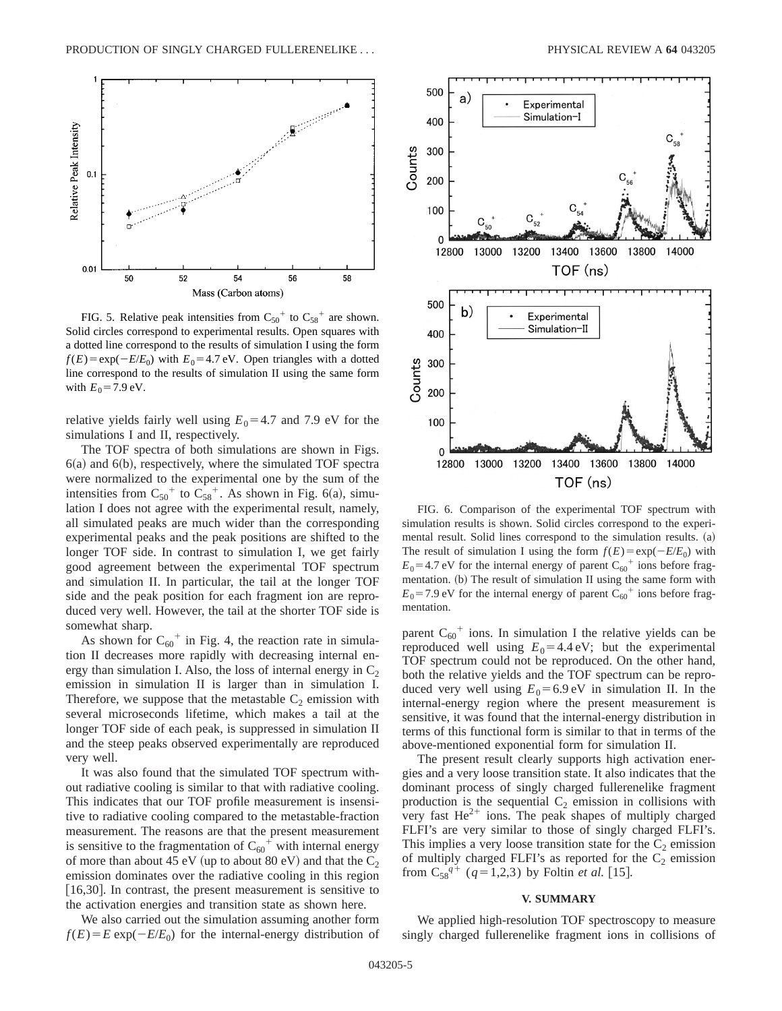

FIG. 5. Relative peak intensities from  $C_{50}^+$  to  $C_{58}^+$  are shown. Solid circles correspond to experimental results. Open squares with a dotted line correspond to the results of simulation I using the form  $f(E) = \exp(-E/E_0)$  with  $E_0 = 4.7$  eV. Open triangles with a dotted line correspond to the results of simulation II using the same form with  $E_0 = 7.9 \text{ eV}$ .

relative yields fairly well using  $E_0$ =4.7 and 7.9 eV for the simulations I and II, respectively.

The TOF spectra of both simulations are shown in Figs.  $6(a)$  and  $6(b)$ , respectively, where the simulated TOF spectra were normalized to the experimental one by the sum of the intensities from  $C_{50}^+$  to  $C_{58}^+$ . As shown in Fig. 6(a), simulation I does not agree with the experimental result, namely, all simulated peaks are much wider than the corresponding experimental peaks and the peak positions are shifted to the longer TOF side. In contrast to simulation I, we get fairly good agreement between the experimental TOF spectrum and simulation II. In particular, the tail at the longer TOF side and the peak position for each fragment ion are reproduced very well. However, the tail at the shorter TOF side is somewhat sharp.

As shown for  $C_{60}^+$  in Fig. 4, the reaction rate in simulation II decreases more rapidly with decreasing internal energy than simulation I. Also, the loss of internal energy in  $C_2$ emission in simulation II is larger than in simulation I. Therefore, we suppose that the metastable  $C_2$  emission with several microseconds lifetime, which makes a tail at the longer TOF side of each peak, is suppressed in simulation II and the steep peaks observed experimentally are reproduced very well.

It was also found that the simulated TOF spectrum without radiative cooling is similar to that with radiative cooling. This indicates that our TOF profile measurement is insensitive to radiative cooling compared to the metastable-fraction measurement. The reasons are that the present measurement is sensitive to the fragmentation of  $C_{60}^{\dagger}$  with internal energy of more than about 45 eV (up to about 80 eV) and that the  $C_2$ emission dominates over the radiative cooling in this region [16,30]. In contrast, the present measurement is sensitive to the activation energies and transition state as shown here.



FIG. 6. Comparison of the experimental TOF spectrum with simulation results is shown. Solid circles correspond to the experimental result. Solid lines correspond to the simulation results.  $(a)$ The result of simulation I using the form  $f(E) = \exp(-E/E_0)$  with  $E_0$ =4.7 eV for the internal energy of parent  $C_{60}$ <sup>+</sup> ions before fragmentation. (b) The result of simulation II using the same form with  $E_0$ =7.9 eV for the internal energy of parent  $C_{60}$ <sup>+</sup> ions before fragmentation.

parent  $C_{60}$ <sup>+</sup> ions. In simulation I the relative yields can be reproduced well using  $E_0 = 4.4 \text{ eV}$ ; but the experimental TOF spectrum could not be reproduced. On the other hand, both the relative yields and the TOF spectrum can be reproduced very well using  $E_0 = 6.9 \text{ eV}$  in simulation II. In the internal-energy region where the present measurement is sensitive, it was found that the internal-energy distribution in terms of this functional form is similar to that in terms of the above-mentioned exponential form for simulation II.

The present result clearly supports high activation energies and a very loose transition state. It also indicates that the dominant process of singly charged fullerenelike fragment production is the sequential  $C_2$  emission in collisions with very fast  $\text{He}^{2+}$  ions. The peak shapes of multiply charged FLFI's are very similar to those of singly charged FLFI's. This implies a very loose transition state for the  $C_2$  emission of multiply charged FLFI's as reported for the  $C_2$  emission from  $C_{58}^{q+}$  ( $q=1,2,3$ ) by Foltin *et al.* [15].

### **V. SUMMARY**

We also carried out the simulation assuming another form  $f(E) = E \exp(-E/E_0)$  for the internal-energy distribution of

We applied high-resolution TOF spectroscopy to measure singly charged fullerenelike fragment ions in collisions of